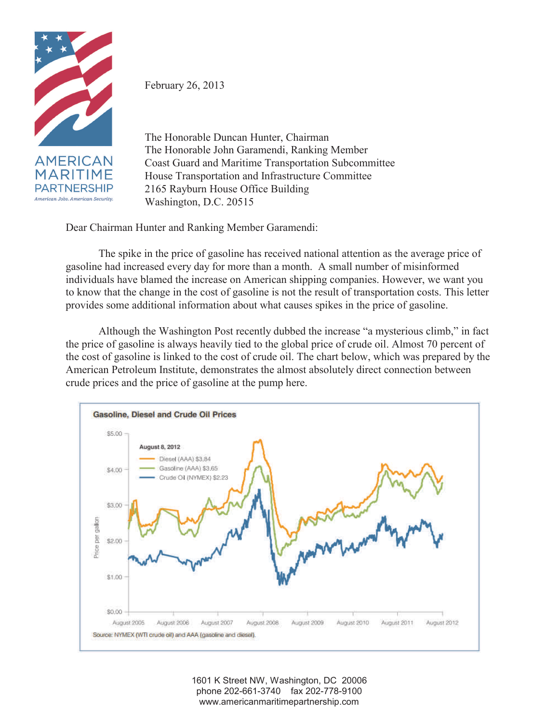

February 26, 2013

The Honorable Duncan Hunter, Chairman The Honorable John Garamendi, Ranking Member Coast Guard and Maritime Transportation Subcommittee House Transportation and Infrastructure Committee 2165 Rayburn House Office Building Washington, D.C. 20515

Dear Chairman Hunter and Ranking Member Garamendi:

The spike in the price of gasoline has received national attention as the average price of gasoline had increased every day for more than a month. A small number of misinformed individuals have blamed the increase on American shipping companies. However, we want you to know that the change in the cost of gasoline is not the result of transportation costs. This letter provides some additional information about what causes spikes in the price of gasoline.

Although the Washington Post recently dubbed the increase "a mysterious climb," in fact the price of gasoline is always heavily tied to the global price of crude oil. Almost 70 percent of the cost of gasoline is linked to the cost of crude oil. The chart below, which was prepared by the American Petroleum Institute, demonstrates the almost absolutely direct connection between crude prices and the price of gasoline at the pump here.



1601 K Street NW, Washington, DC 20006 phone 202-661-3740 fax 202-778-9100 www.americanmaritimepartnership.com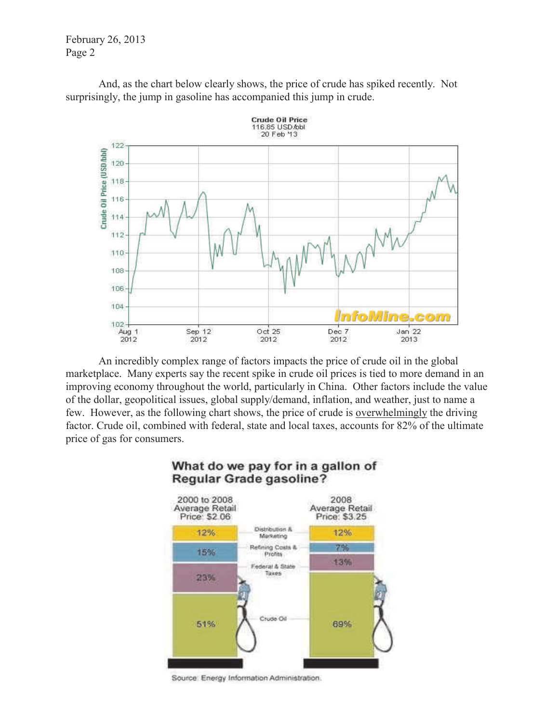February 26, 2013 Page 2

And, as the chart below clearly shows, the price of crude has spiked recently. Not surprisingly, the jump in gasoline has accompanied this jump in crude.



An incredibly complex range of factors impacts the price of crude oil in the global marketplace. Many experts say the recent spike in crude oil prices is tied to more demand in an improving economy throughout the world, particularly in China. Other factors include the value of the dollar, geopolitical issues, global supply/demand, inflation, and weather, just to name a few. However, as the following chart shows, the price of crude is overwhelmingly the driving factor. Crude oil, combined with federal, state and local taxes, accounts for 82% of the ultimate price of gas for consumers.



## What do we pay for in a gallon of Regular Grade gasoline?

Source: Energy Information Administration.